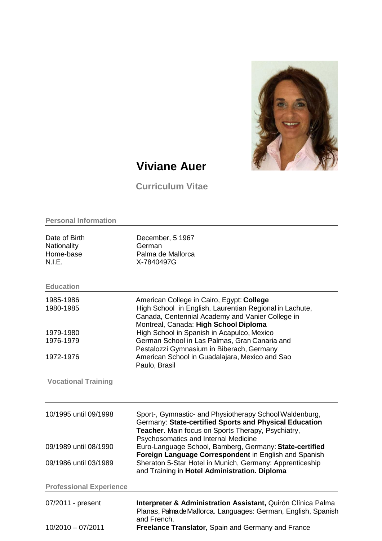

## **Viviane Auer**

**Curriculum Vitae**

| <b>Personal Information</b>                         |                                                                                                                                                                                                                 |  |
|-----------------------------------------------------|-----------------------------------------------------------------------------------------------------------------------------------------------------------------------------------------------------------------|--|
| Date of Birth<br>Nationality<br>Home-base<br>N.I.E. | December, 5 1967<br>German<br>Palma de Mallorca<br>X-7840497G                                                                                                                                                   |  |
| <b>Education</b>                                    |                                                                                                                                                                                                                 |  |
| 1985-1986<br>1980-1985                              | American College in Cairo, Egypt: College<br>High School in English, Laurentian Regional in Lachute,<br>Canada, Centennial Academy and Vanier College in<br>Montreal, Canada: High School Diploma               |  |
| 1979-1980<br>1976-1979                              | High School in Spanish in Acapulco, Mexico<br>German School in Las Palmas, Gran Canaria and<br>Pestalozzi Gymnasium in Biberach, Germany                                                                        |  |
| 1972-1976                                           | American School in Guadalajara, Mexico and Sao<br>Paulo, Brasil                                                                                                                                                 |  |
| <b>Vocational Training</b>                          |                                                                                                                                                                                                                 |  |
| 10/1995 until 09/1998                               | Sport-, Gymnastic- and Physiotherapy School Waldenburg,<br>Germany: State-certified Sports and Physical Education<br>Teacher. Main focus on Sports Therapy, Psychiatry,<br>Psychosomatics and Internal Medicine |  |
| 09/1989 until 08/1990                               | Euro-Language School, Bamberg, Germany: State-certified                                                                                                                                                         |  |
| 09/1986 until 03/1989                               | Foreign Language Correspondent in English and Spanish<br>Sheraton 5-Star Hotel in Munich, Germany: Apprenticeship<br>and Training in Hotel Administration. Diploma                                              |  |
| <b>Professional Experience</b>                      |                                                                                                                                                                                                                 |  |
| 07/2011 - present                                   | Interpreter & Administration Assistant, Quirón Clínica Palma<br>Planas, Palma de Mallorca. Languages: German, English, Spanish<br>and French.                                                                   |  |
| 10/2010 - 07/2011                                   | Freelance Translator, Spain and Germany and France                                                                                                                                                              |  |